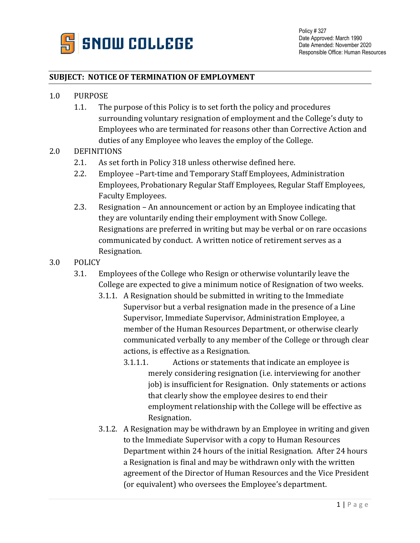

## **SUBJECT: NOTICE OF TERMINATION OF EMPLOYMENT**

- 1.0 PURPOSE
	- 1.1. The purpose of this Policy is to set forth the policy and procedures surrounding voluntary resignation of employment and the College's duty to Employees who are terminated for reasons other than Corrective Action and duties of any Employee who leaves the employ of the College.

## 2.0 DEFINITIONS

- 2.1. As set forth in Policy 318 unless otherwise defined here.
- 2.2. Employee –Part-time and Temporary Staff Employees, Administration Employees, Probationary Regular Staff Employees, Regular Staff Employees, Faculty Employees.
- 2.3. Resignation An announcement or action by an Employee indicating that they are voluntarily ending their employment with Snow College. Resignations are preferred in writing but may be verbal or on rare occasions communicated by conduct. A written notice of retirement serves as a Resignation.
- 3.0 POLICY
	- 3.1. Employees of the College who Resign or otherwise voluntarily leave the College are expected to give a minimum notice of Resignation of two weeks.
		- 3.1.1. A Resignation should be submitted in writing to the Immediate Supervisor but a verbal resignation made in the presence of a Line Supervisor, Immediate Supervisor, Administration Employee, a member of the Human Resources Department, or otherwise clearly communicated verbally to any member of the College or through clear actions, is effective as a Resignation.
			- 3.1.1.1. Actions or statements that indicate an employee is merely considering resignation (i.e. interviewing for another job) is insufficient for Resignation. Only statements or actions that clearly show the employee desires to end their employment relationship with the College will be effective as Resignation.
		- 3.1.2. A Resignation may be withdrawn by an Employee in writing and given to the Immediate Supervisor with a copy to Human Resources Department within 24 hours of the initial Resignation. After 24 hours a Resignation is final and may be withdrawn only with the written agreement of the Director of Human Resources and the Vice President (or equivalent) who oversees the Employee's department.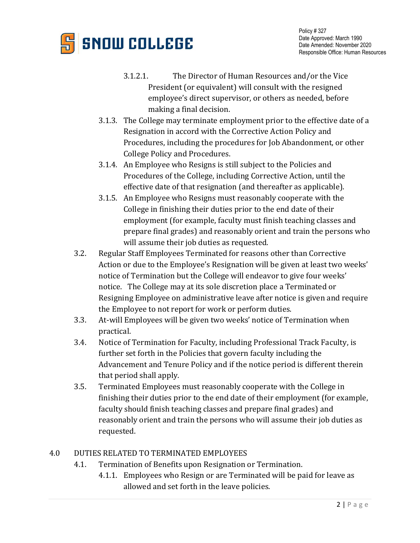

- 3.1.2.1. The Director of Human Resources and/or the Vice President (or equivalent) will consult with the resigned employee's direct supervisor, or others as needed, before making a final decision.
- 3.1.3. The College may terminate employment prior to the effective date of a Resignation in accord with the Corrective Action Policy and Procedures, including the procedures for Job Abandonment, or other College Policy and Procedures.
- 3.1.4. An Employee who Resigns is still subject to the Policies and Procedures of the College, including Corrective Action, until the effective date of that resignation (and thereafter as applicable).
- 3.1.5. An Employee who Resigns must reasonably cooperate with the College in finishing their duties prior to the end date of their employment (for example, faculty must finish teaching classes and prepare final grades) and reasonably orient and train the persons who will assume their job duties as requested.
- 3.2. Regular Staff Employees Terminated for reasons other than Corrective Action or due to the Employee's Resignation will be given at least two weeks' notice of Termination but the College will endeavor to give four weeks' notice. The College may at its sole discretion place a Terminated or Resigning Employee on administrative leave after notice is given and require the Employee to not report for work or perform duties.
- 3.3. At-will Employees will be given two weeks' notice of Termination when practical.
- 3.4. Notice of Termination for Faculty, including Professional Track Faculty, is further set forth in the Policies that govern faculty including the Advancement and Tenure Policy and if the notice period is different therein that period shall apply.
- 3.5. Terminated Employees must reasonably cooperate with the College in finishing their duties prior to the end date of their employment (for example, faculty should finish teaching classes and prepare final grades) and reasonably orient and train the persons who will assume their job duties as requested.

## 4.0 DUTIES RELATED TO TERMINATED EMPLOYEES

- 4.1. Termination of Benefits upon Resignation or Termination.
	- 4.1.1. Employees who Resign or are Terminated will be paid for leave as allowed and set forth in the leave policies.